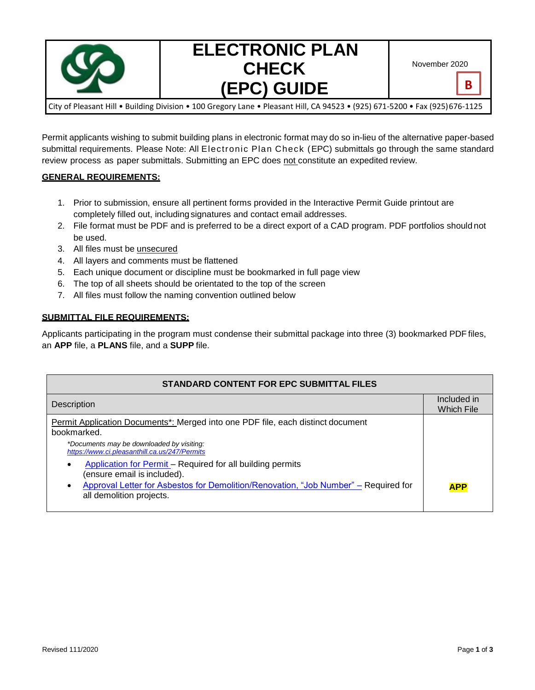

# **ELECTRONIC PLAN CHECK (EPC) GUIDE**

**B**

City of Pleasant Hill • Building Division • 100 Gregory Lane • Pleasant Hill, CA 94523 • (925) 671-5200 • Fax (925)676-1125

Permit applicants wishing to submit building plans in electronic format may do so in-lieu of the alternative paper-based submittal requirements. Please Note: All Electronic Plan Check (EPC) submittals go through the same standard review process as paper submittals. Submitting an EPC does not constitute an expedited review.

### **GENERAL REQUIREMENTS:**

- 1. Prior to submission, ensure all pertinent forms provided in the Interactive Permit Guide printout are completely filled out, including signatures and contact email addresses.
- 2. File format must be PDF and is preferred to be a direct export of a CAD program. PDF portfolios should not be used.
- 3. All files must be unsecured
- 4. All layers and comments must be flattened
- 5. Each unique document or discipline must be bookmarked in full page view
- 6. The top of all sheets should be orientated to the top of the screen
- 7. All files must follow the naming convention outlined below

#### **SUBMITTAL FILE REQUIREMENTS:**

Applicants participating in the program must condense their submittal package into three (3) bookmarked PDF files, an **APP** file, a **PLANS** file, and a **SUPP** file.

| <b>STANDARD CONTENT FOR EPC SUBMITTAL FILES</b>                                                                 |                                  |  |
|-----------------------------------------------------------------------------------------------------------------|----------------------------------|--|
| Description                                                                                                     | Included in<br><b>Which File</b> |  |
| Permit Application Documents*: Merged into one PDF file, each distinct document<br>bookmarked.                  |                                  |  |
| *Documents may be downloaded by visiting:<br>https://www.ci.pleasanthill.ca.us/247/Permits                      |                                  |  |
| Application for Permit – Required for all building permits<br>(ensure email is included).                       |                                  |  |
| Approval Letter for Asbestos for Demolition/Renovation, "Job Number" – Required for<br>all demolition projects. | <b>APP</b>                       |  |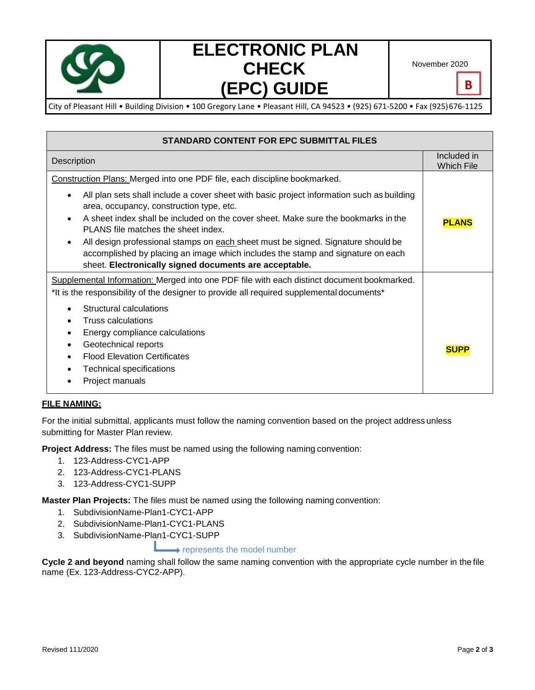

# **ELECTRONIC PLAN CHECK (EPC) GUIDE**

November 2020

**B**

City of Pleasant Hill • Building Division • 100 Gregory Lane • Pleasant Hill, CA 94523 • (925) 671-5200 • Fax (925)676-1125

| <b>STANDARD CONTENT FOR EPC SUBMITTAL FILES</b>                                                                                                                                                                                                                                                                                                                                                                                                                                                                                                                                  |                                  |
|----------------------------------------------------------------------------------------------------------------------------------------------------------------------------------------------------------------------------------------------------------------------------------------------------------------------------------------------------------------------------------------------------------------------------------------------------------------------------------------------------------------------------------------------------------------------------------|----------------------------------|
| Description                                                                                                                                                                                                                                                                                                                                                                                                                                                                                                                                                                      | Included in<br><b>Which File</b> |
| Construction Plans: Merged into one PDF file, each discipline bookmarked.<br>All plan sets shall include a cover sheet with basic project information such as building<br>area, occupancy, construction type, etc.<br>A sheet index shall be included on the cover sheet. Make sure the bookmarks in the<br>PLANS file matches the sheet index.<br>All design professional stamps on each sheet must be signed. Signature should be<br>accomplished by placing an image which includes the stamp and signature on each<br>sheet. Electronically signed documents are acceptable. | <b>PLANS</b>                     |
| Supplemental Information: Merged into one PDF file with each distinct document bookmarked.<br>*It is the responsibility of the designer to provide all required supplemental documents*<br>Structural calculations<br>Truss calculations<br>Energy compliance calculations<br>Geotechnical reports<br><b>Flood Elevation Certificates</b><br><b>Technical specifications</b><br>Project manuals                                                                                                                                                                                  | <b>SUPP</b>                      |

### **FILE NAMING:**

For the initial submittal, applicants must follow the naming convention based on the project address unless submitting for Master Plan review.

**Project Address:** The files must be named using the following naming convention:

- 1. 123-Address-CYC1-APP
- 2. 123-Address-CYC1-PLANS
- 3. 123-Address-CYC1-SUPP

**Master Plan Projects:** The files must be named using the following naming convention:

- 1. SubdivisionName-Plan1-CYC1-APP
- 2. SubdivisionName-Plan1-CYC1-PLANS
- 3. SubdivisionName-Plan1-CYC1-SUPP

## represents the model number

**Cycle 2 and beyond** naming shall follow the same naming convention with the appropriate cycle number in the file name (Ex. 123-Address-CYC2-APP).